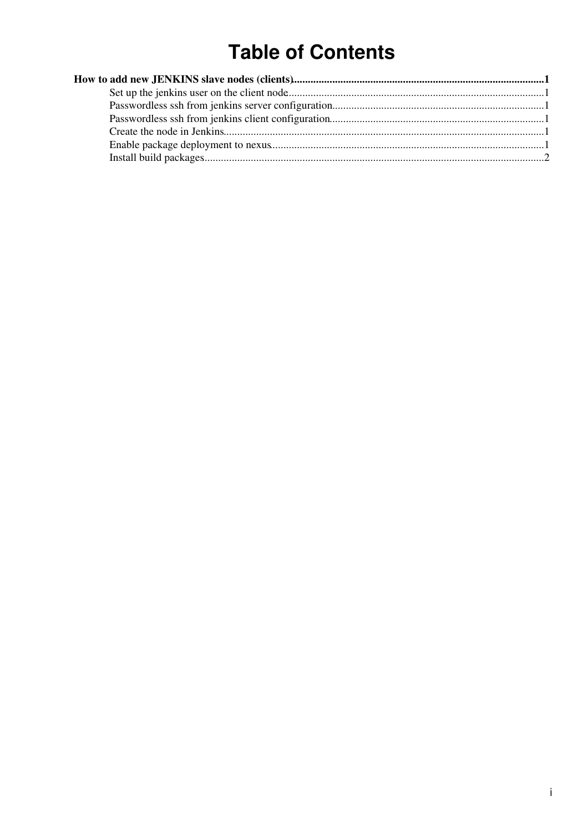# **Table of Contents**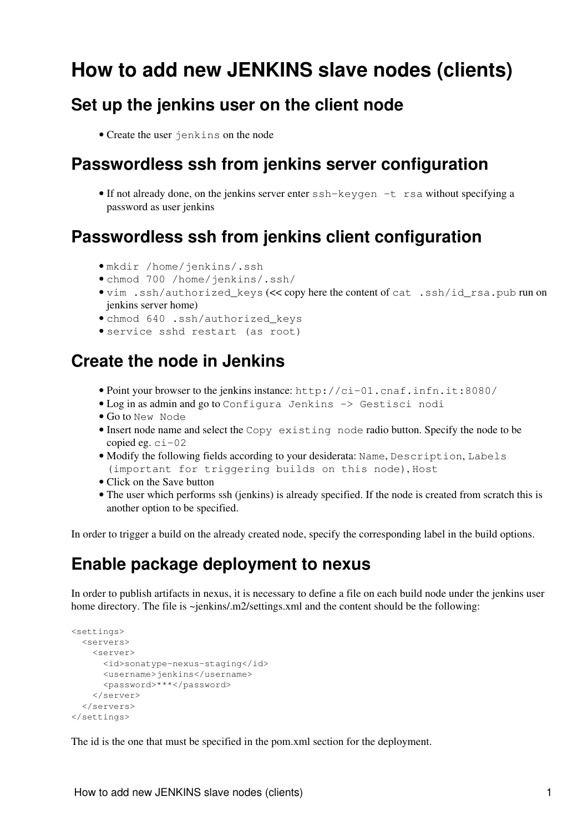## <span id="page-1-0"></span>**How to add new JENKINS slave nodes (clients)**

#### <span id="page-1-1"></span>**Set up the jenkins user on the client node**

• Create the user jenkins on the node

#### <span id="page-1-2"></span>**Passwordless ssh from jenkins server configuration**

• If not already done, on the jenkins server enter ssh-keygen -t rsa without specifying a password as user jenkins

#### <span id="page-1-3"></span>**Passwordless ssh from jenkins client configuration**

- mkdir /home/jenkins/.ssh
- chmod 700 /home/jenkins/.ssh/
- vim .ssh/authorized\_keys (<< copy here the content of cat .ssh/id\_rsa.pub run on jenkins server home)
- chmod 640 .ssh/authorized\_keys
- service sshd restart (as root)

#### <span id="page-1-4"></span>**Create the node in Jenkins**

- Point your browser to the jenkins instance: http://ci-01.cnaf.infn.it:8080/
- Log in as admin and go to Configura Jenkins -> Gestisci nodi
- Go to New Node
- . Insert node name and select the Copy existing node radio button. Specify the node to be copied eg.  $ci-02$
- Modify the following fields according to your desiderata: Name, Description, Labels (important for triggering builds on this node), Host
- Click on the Save button
- The user which performs ssh (jenkins) is already specified. If the node is created from scratch this is another option to be specified.

In order to trigger a build on the already created node, specify the corresponding label in the build options.

#### <span id="page-1-5"></span>**Enable package deployment to nexus**

In order to publish artifacts in nexus, it is necessary to define a file on each build node under the jenkins user home directory. The file is ~jenkins/.m2/settings.xml and the content should be the following:

```
<settings>
  <servers>
     <server>
      <id>sonatype-nexus-staging</id>
      <username>jenkins</username>
      <password>***</password>
     </server>
   </servers>
</settings>
```
The id is the one that must be specified in the pom.xml section for the deployment.